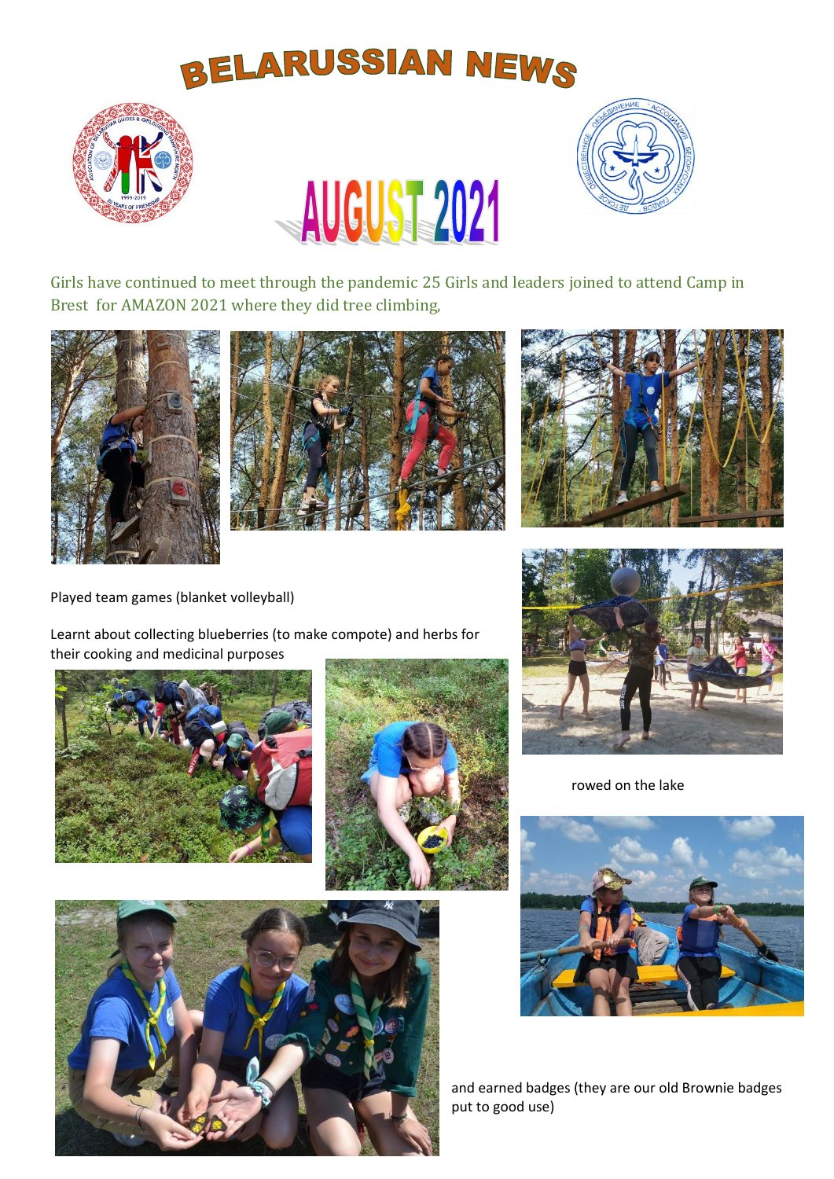## **BELARUSSIAN NEWS**





Girls have continued to meet through the pandemic 25 Girls and leaders joined to attend Camp in Brest for AMAZON 2021 where they did tree climbing,

AUGUST 2021







Played team games (blanket volleyball)

Learnt about collecting blueberries (to make compote) and herbs for their cooking and medicinal purposes









rowed on the lake



and earned badges (they are our old Brownie badges put to good use)